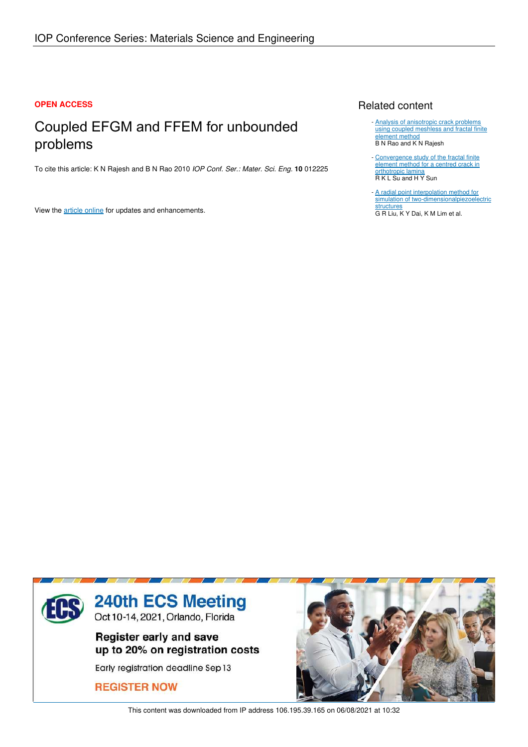# **OPEN ACCESS**

# Coupled EFGM and FFEM for unbounded problems

To cite this article: K N Rajesh and B N Rao 2010 *IOP Conf. Ser.: Mater. Sci. Eng.* **10** 012225

View the article online for updates and enhancements.

# Related content

- **Analysis of anisotropic crack problems** using coupled meshless and fractal finite element method B N Rao and K N Rajesh
- Convergence study of the fractal finite element method for a centred crack in **orthotropic lamina** R K L Su and H Y Sun
- A radial point interpolation method for simulation of two-dimensionalpiezoelectric **structures** G R Liu, K Y Dai, K M Lim et al.



This content was downloaded from IP address 106.195.39.165 on 06/08/2021 at 10:32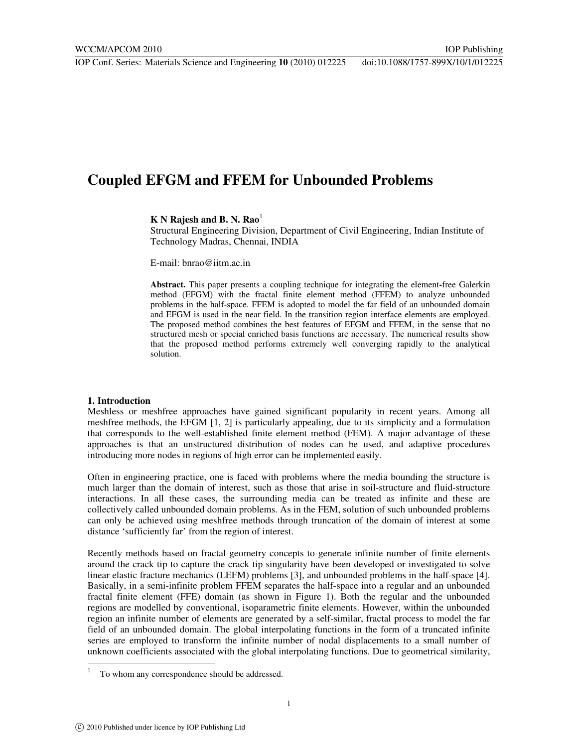# **Coupled EFGM and FFEM for Unbounded Problems**

**K N Rajesh and B. N. Rao**<sup>1</sup>

Structural Engineering Division, Department of Civil Engineering, Indian Institute of Technology Madras, Chennai, INDIA

E-mail: bnrao@iitm.ac.in

**Abstract.** This paper presents a coupling technique for integrating the element**-**free Galerkin method (EFGM) with the fractal finite element method (FFEM) to analyze unbounded problems in the half-space. FFEM is adopted to model the far field of an unbounded domain and EFGM is used in the near field. In the transition region interface elements are employed. The proposed method combines the best features of EFGM and FFEM, in the sense that no structured mesh or special enriched basis functions are necessary. The numerical results show that the proposed method performs extremely well converging rapidly to the analytical solution.

#### **1. Introduction**

j

Meshless or meshfree approaches have gained significant popularity in recent years. Among all meshfree methods, the EFGM [1, 2] is particularly appealing, due to its simplicity and a formulation that corresponds to the well-established finite element method (FEM). A major advantage of these approaches is that an unstructured distribution of nodes can be used, and adaptive procedures introducing more nodes in regions of high error can be implemented easily.

Often in engineering practice, one is faced with problems where the media bounding the structure is much larger than the domain of interest, such as those that arise in soil-structure and fluid-structure interactions. In all these cases, the surrounding media can be treated as infinite and these are collectively called unbounded domain problems. As in the FEM, solution of such unbounded problems can only be achieved using meshfree methods through truncation of the domain of interest at some distance 'sufficiently far' from the region of interest.

Recently methods based on fractal geometry concepts to generate infinite number of finite elements around the crack tip to capture the crack tip singularity have been developed or investigated to solve linear elastic fracture mechanics (LEFM) problems [3], and unbounded problems in the half-space [4]. Basically, in a semi-infinite problem FFEM separates the half-space into a regular and an unbounded fractal finite element (FFE) domain (as shown in Figure 1). Both the regular and the unbounded regions are modelled by conventional, isoparametric finite elements. However, within the unbounded region an infinite number of elements are generated by a self-similar, fractal process to model the far field of an unbounded domain. The global interpolating functions in the form of a truncated infinite series are employed to transform the infinite number of nodal displacements to a small number of unknown coefficients associated with the global interpolating functions. Due to geometrical similarity,

<sup>1</sup> To whom any correspondence should be addressed.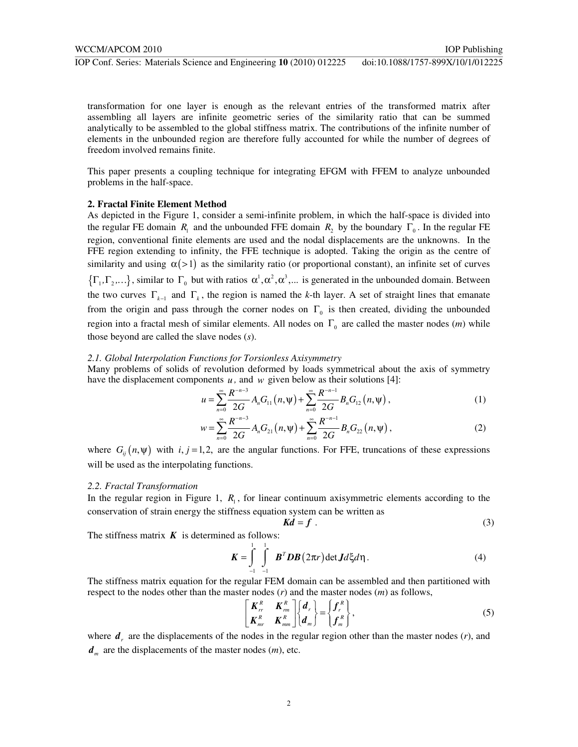transformation for one layer is enough as the relevant entries of the transformed matrix after assembling all layers are infinite geometric series of the similarity ratio that can be summed analytically to be assembled to the global stiffness matrix. The contributions of the infinite number of elements in the unbounded region are therefore fully accounted for while the number of degrees of freedom involved remains finite.

This paper presents a coupling technique for integrating EFGM with FFEM to analyze unbounded problems in the half-space.

#### **2. Fractal Finite Element Method**

As depicted in the Figure 1, consider a semi-infinite problem, in which the half-space is divided into the regular FE domain  $R_1$  and the unbounded FFE domain  $R_2$  by the boundary  $\Gamma_0$ . In the regular FE region, conventional finite elements are used and the nodal displacements are the unknowns. In the FFE region extending to infinity, the FFE technique is adopted. Taking the origin as the centre of similarity and using  $\alpha$ (>1) as the similarity ratio (or proportional constant), an infinite set of curves  $\{\Gamma_1, \Gamma_2,...\}$ , similar to  $\Gamma_0$  but with ratios  $\alpha^1, \alpha^2, \alpha^3,...$  is generated in the unbounded domain. Between the two curves  $\Gamma_{k-1}$  and  $\Gamma_k$ , the region is named the *k*-th layer. A set of straight lines that emanate from the origin and pass through the corner nodes on  $\Gamma_0$  is then created, dividing the unbounded region into a fractal mesh of similar elements. All nodes on  $\Gamma_0$  are called the master nodes  $(m)$  while those beyond are called the slave nodes (*s*).

#### *2.1. Global Interpolation Functions for Torsionless Axisymmetry*

Many problems of solids of revolution deformed by loads symmetrical about the axis of symmetry have the displacement components  $u$ , and  $w$  given below as their solutions [4]:

$$
u = \sum_{n=0}^{\infty} \frac{R^{-n-3}}{2G} A_n G_{11}(n,\Psi) + \sum_{n=0}^{\infty} \frac{R^{-n-1}}{2G} B_n G_{12}(n,\Psi), \qquad (1)
$$

$$
w = \sum_{n=0}^{\infty} \frac{R^{-n-3}}{2G} A_n G_{21}(n,\Psi) + \sum_{n=0}^{\infty} \frac{R^{-n-1}}{2G} B_n G_{22}(n,\Psi), \qquad (2)
$$

where  $G_{ij}(n, \psi)$  with *i*, *j* = 1,2, are the angular functions. For FFE, truncations of these expressions will be used as the interpolating functions.

#### *2.2. Fractal Transformation*

In the regular region in Figure 1,  $R_1$ , for linear continuum axisymmetric elements according to the conservation of strain energy the stiffness equation system can be written as

$$
Kd = f \tag{3}
$$

The stiffness matrix  $\boldsymbol{K}$  is determined as follows:

$$
K = \int_{-1}^{1} \int_{-1}^{1} B^T DB (2\pi r) \det J d\xi d\eta.
$$
 (4)

The stiffness matrix equation for the regular FEM domain can be assembled and then partitioned with respect to the nodes other than the master nodes (*r*) and the master nodes (*m*) as follows,

$$
\begin{bmatrix}\nK_m^R & K_m^R \\
K_m^R & K_{mn}^R\n\end{bmatrix}\n\begin{bmatrix}\nd_r \\
d_m\n\end{bmatrix} =\n\begin{bmatrix}\nf_r^R \\
f_m^R\n\end{bmatrix},
$$
\n(5)

where  $d<sub>r</sub>$  are the displacements of the nodes in the regular region other than the master nodes  $(r)$ , and  $d<sub>m</sub>$  are the displacements of the master nodes  $(m)$ , etc.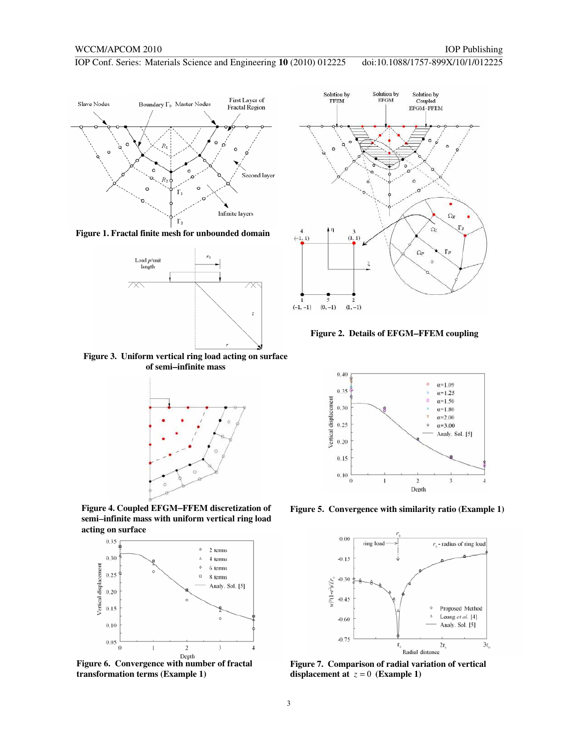

**Figure 1. Fractal finite mesh for unbounded domain** 



**Figure 3. Uniform vertical ring load acting on surface of semi**−**infinite mass** 



**Figure 4. Coupled EFGM**−**FFEM discretization of semi**−**infinite mass with uniform vertical ring load acting on surface** 



**transformation terms (Example 1)** 



**Figure 2. Details of EFGM**−**FFEM coupling** 



**Figure 5. Convergence with similarity ratio (Example 1)** 



**displacement at**  $z = 0$  (**Example 1**)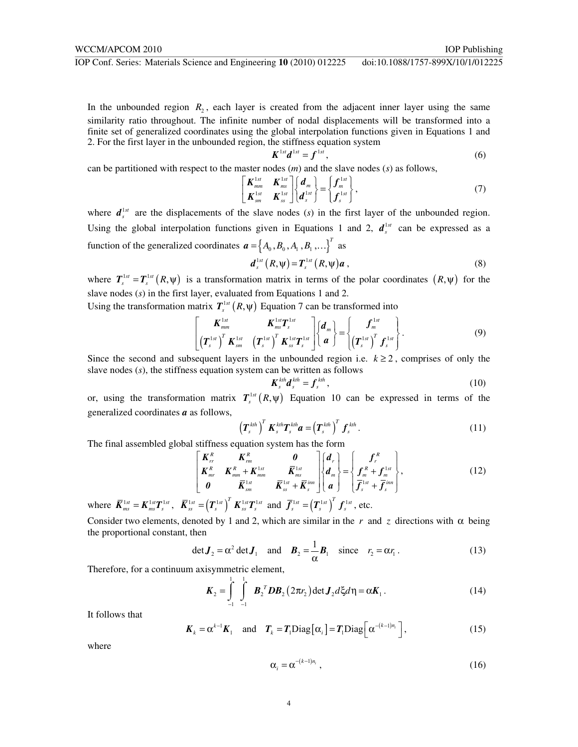In the unbounded region  $R_2$ , each layer is created from the adjacent inner layer using the same similarity ratio throughout. The infinite number of nodal displacements will be transformed into a finite set of generalized coordinates using the global interpolation functions given in Equations 1 and 2. For the first layer in the unbounded region, the stiffness equation system

$$
\boldsymbol{K}^{1st}\boldsymbol{d}^{1st}=\boldsymbol{f}^{1st},\tag{6}
$$

can be partitioned with respect to the master nodes (*m*) and the slave nodes (*s*) as follows,

$$
\begin{bmatrix}\nK_{mm}^{1st} & K_{ms}^{1st} \\
K_{sm}^{1st} & K_{ss}^{1st}\n\end{bmatrix}\n\begin{bmatrix}\nd_m \\
d_s^{1st}\n\end{bmatrix} =\n\begin{Bmatrix}\nf_m^{1st} \\
f_s^{1st}\n\end{Bmatrix},
$$
\n(7)

where  $d_s^{\perp s}$  are the displacements of the slave nodes (*s*) in the first layer of the unbounded region. Using the global interpolation functions given in Equations 1 and 2,  $d_s^{\text{1st}}$  can be expressed as a function of the generalized coordinates  ${\bf a} = \begin{bmatrix} A_0, B_0, A_1, B_1, \dots \end{bmatrix}^T$  as

$$
\boldsymbol{d}_{s}^{1st}\left(R,\boldsymbol{\psi}\right)=\boldsymbol{T}_{s}^{1st}\left(R,\boldsymbol{\psi}\right)\boldsymbol{a}\,,\tag{8}
$$

where  $T_s^{1st} = T_s^{1st} (R, \psi)$  is a transformation matrix in terms of the polar coordinates  $(R, \psi)$  for the slave nodes (*s*) in the first layer, evaluated from Equations 1 and 2.

Using the transformation matrix  $T_s^{\text{1st}}(R, \psi)$  Equation 7 can be transformed into

$$
\begin{bmatrix}\nK_{mm}^{1st} & K_{ms}^{1st}T_s^{1st} \\
(T_s^{1st})^T K_{sm}^{1st} & (T_s^{1st})^T K_{ss}^{1st}T_s^{1st}\n\end{bmatrix}\n\begin{bmatrix}\nd_m \\
a\n\end{bmatrix} =\n\begin{bmatrix}\nf_m^{1st} \\
(T_s^{1st})^T f_s^{1st}\n\end{bmatrix}.
$$
\n(9)

Since the second and subsequent layers in the unbounded region i.e.  $k \ge 2$ , comprises of only the slave nodes (*s*), the stiffness equation system can be written as follows

$$
\mathbf{K}_s^{kth} \mathbf{d}_s^{kth} = \mathbf{f}_s^{kth},\tag{10}
$$

or, using the transformation matrix  $T_s^{1st}(R,\psi)$  Equation 10 can be expressed in terms of the generalized coordinates *a* as follows,

$$
\left(\boldsymbol{T}_{s}^{kth}\right)^{T}\boldsymbol{K}_{s}^{kth}\boldsymbol{T}_{s}^{kth}\boldsymbol{a}=\left(\boldsymbol{T}_{s}^{kth}\right)^{T}\boldsymbol{f}_{s}^{kth}.
$$
\n(11)

The final assembled global stiffness equation system has the form

$$
\begin{bmatrix}\nK_m^R & K_m^R & 0 \\
K_m^R & K_{mm}^R + K_{mm}^{1st} & \overline{K}_{ms}^{1st} \\
0 & \overline{K}_{sm}^{1st} & \overline{K}_{ss}^{1st} + \overline{K}_{sm}^{ism}\n\end{bmatrix}\n\begin{bmatrix}\nd_r \\
d_m \\
a\n\end{bmatrix} = \n\begin{bmatrix}\nf_r \\
f_m^R + f_m^{1st} \\
\overline{f}_s^{1st} + \overline{f}_s^{im}\n\end{bmatrix},
$$
\n(12)

where  $\overline{K}_{ms}^{1st} = K_{ms}^{1st}T_s^{1st}$ ,  $\overline{K}_{ss}^{1st} = (T_s^{1st})^T K_{ss}^{1st}T_s^{1st}$  and  $\overline{f}_s^{1st} = (T_s^{1st})^T f_s^{1st}$ , etc.

Consider two elements, denoted by 1 and 2, which are similar in the *r* and *z* directions with  $\alpha$  being the proportional constant, then

$$
\det \boldsymbol{J}_2 = \alpha^2 \det \boldsymbol{J}_1 \quad \text{and} \quad \boldsymbol{B}_2 = \frac{1}{\alpha} \boldsymbol{B}_1 \quad \text{since} \quad r_2 = \alpha r_1. \tag{13}
$$

Therefore, for a continuum axisymmetric element,

$$
\boldsymbol{K}_2 = \int_{-1}^{1} \int_{-1}^{1} \boldsymbol{B}_2^T \boldsymbol{D} \boldsymbol{B}_2 (2\pi r_2) \det \boldsymbol{J}_2 d\xi d\eta = \alpha \boldsymbol{K}_1.
$$
 (14)

It follows that

$$
\boldsymbol{K}_k = \boldsymbol{\alpha}^{k-1} \boldsymbol{K}_1 \quad \text{and} \quad \boldsymbol{T}_k = \boldsymbol{T}_1 \text{Diag} \big[ \boldsymbol{\alpha}_i \big] = \boldsymbol{T}_1 \text{Diag} \big[ \boldsymbol{\alpha}^{-(k-1)n_i} \big], \tag{15}
$$

where

$$
\alpha_i = \alpha^{-(k-1)n_i} \tag{16}
$$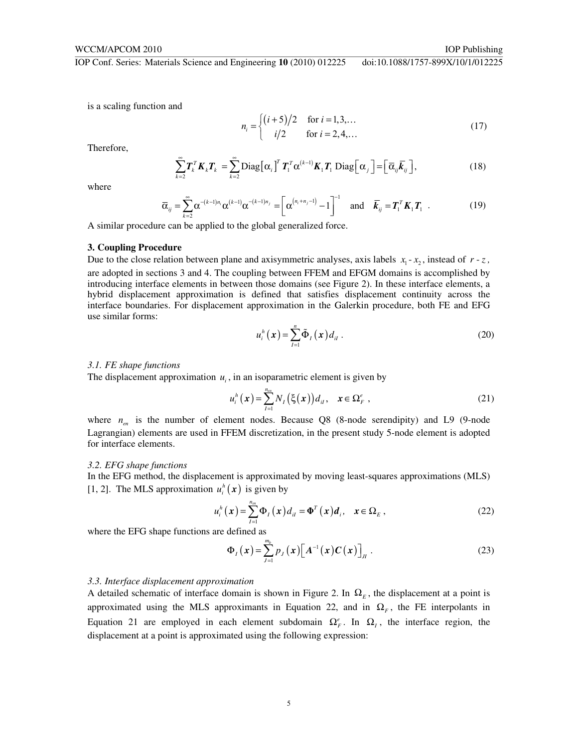is a scaling function and

$$
n_i = \begin{cases} (i+5)/2 & \text{for } i = 1, 3, ... \\ i/2 & \text{for } i = 2, 4, ... \end{cases}
$$
 (17)

Therefore,

$$
\sum_{k=2}^{\infty} \boldsymbol{T}_{k}^{T} \boldsymbol{K}_{k} \boldsymbol{T}_{k} = \sum_{k=2}^{\infty} \text{Diag} \big[ \boldsymbol{\alpha}_{i} \big]^{T} \boldsymbol{T}_{1}^{T} \boldsymbol{\alpha}^{(k-1)} \boldsymbol{K}_{1} \boldsymbol{T}_{1} \text{Diag} \big[ \boldsymbol{\alpha}_{j} \big] = \big[ \overline{\boldsymbol{\alpha}}_{ij} \overline{\boldsymbol{k}}_{ij} \big], \tag{18}
$$

where

$$
\overline{\alpha}_{ij} = \sum_{k=2}^{\infty} \alpha^{-(k-1)n_i} \alpha^{(k-1)} \alpha^{-(k-1)n_j} = \left[ \alpha^{(n_i+n_j-1)} - 1 \right]^{-1} \text{ and } \overline{k}_{ij} = T_1^T K_1 T_1 . \qquad (19)
$$

A similar procedure can be applied to the global generalized force.

# **3. Coupling Procedure**

Due to the close relation between plane and axisymmetric analyses, axis labels  $x_1 - x_2$ , instead of  $r - z$ , are adopted in sections 3 and 4. The coupling between FFEM and EFGM domains is accomplished by introducing interface elements in between those domains (see Figure 2). In these interface elements, a hybrid displacement approximation is defined that satisfies displacement continuity across the interface boundaries. For displacement approximation in the Galerkin procedure, both FE and EFG use similar forms:

$$
u_i^h(\boldsymbol{x}) = \sum_{I=1}^n \tilde{\boldsymbol{\Phi}}_I(\boldsymbol{x}) d_{iI} \,. \tag{20}
$$

#### *3.1. FE shape functions*

The displacement approximation  $u_i$ , in an isoparametric element is given by

$$
u_i^h(\boldsymbol{x}) = \sum_{I=1}^{n_m} N_I(\boldsymbol{\xi}(\boldsymbol{x})) d_{il}, \quad \boldsymbol{x} \in \Omega_F^e \tag{21}
$$

where  $n_{\text{em}}$  is the number of element nodes. Because Q8 (8-node serendipity) and L9 (9-node Lagrangian) elements are used in FFEM discretization, in the present study 5-node element is adopted for interface elements.

### *3.2. EFG shape functions*

In the EFG method, the displacement is approximated by moving least-squares approximations (MLS) [1, 2]. The MLS approximation  $u_i^h(x)$  is given by

$$
u_i^h(\boldsymbol{x}) = \sum_{l=1}^{n_m} \Phi_l(\boldsymbol{x}) d_{il} = \Phi^T(\boldsymbol{x}) d_i, \quad \boldsymbol{x} \in \Omega_E, \qquad (22)
$$

where the EFG shape functions are defined as

$$
\Phi_{I}\left(\boldsymbol{x}\right) = \sum_{J=1}^{m_b} p_J\left(\boldsymbol{x}\right) \left[\boldsymbol{A}^{-1}\left(\boldsymbol{x}\right) \boldsymbol{C}\left(\boldsymbol{x}\right)\right]_J \tag{23}
$$

# *3.3. Interface displacement approximation*

A detailed schematic of interface domain is shown in Figure 2. In  $\Omega<sub>E</sub>$ , the displacement at a point is approximated using the MLS approximants in Equation 22, and in  $\Omega_F$ , the FE interpolants in Equation 21 are employed in each element subdomain  $\Omega_F^e$ . In  $\Omega_I$ , the interface region, the displacement at a point is approximated using the following expression: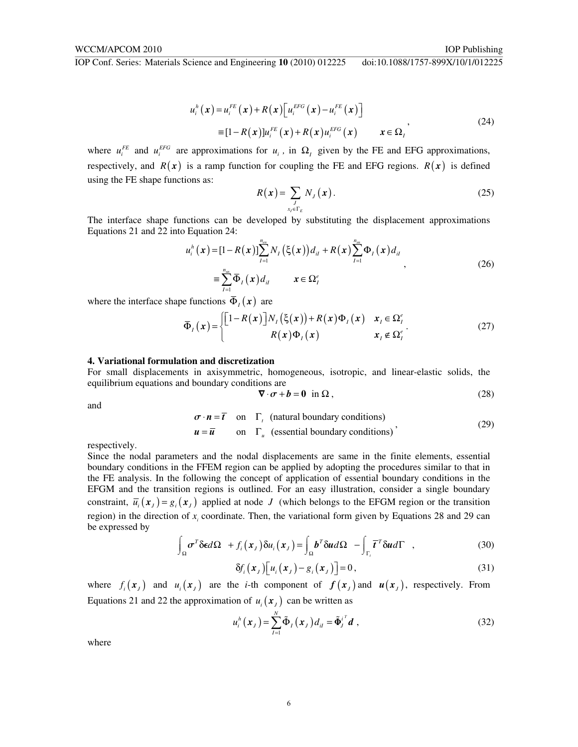$$
u_i^h(\mathbf{x}) = u_i^{FE}(\mathbf{x}) + R(\mathbf{x}) \left[ u_i^{EFG}(\mathbf{x}) - u_i^{FE}(\mathbf{x}) \right]
$$
  
\n
$$
\equiv [1 - R(\mathbf{x})] u_i^{FE}(\mathbf{x}) + R(\mathbf{x}) u_i^{EFG}(\mathbf{x}) \qquad \mathbf{x} \in \Omega_i
$$
\n(24)

where  $u_i^{FE}$  and  $u_i^{EF}$  are approximations for  $u_i$ , in  $\Omega_i$  given by the FE and EFG approximations, respectively, and  $R(x)$  is a ramp function for coupling the FE and EFG regions.  $R(x)$  is defined using the FE shape functions as:

$$
R(x) = \sum_{\substack{J \\ x_I \in \Gamma_E}} N_J(x). \tag{25}
$$

The interface shape functions can be developed by substituting the displacement approximations Equations 21 and 22 into Equation 24:

$$
u_{i}^{h}(\mathbf{x}) = [1 - R(\mathbf{x})] \sum_{I=1}^{n_{m}} N_{I}(\xi(\mathbf{x})) d_{iI} + R(\mathbf{x}) \sum_{I=1}^{n_{m}} \Phi_{I}(\mathbf{x}) d_{iI} = \sum_{I=1}^{n_{m}} \overline{\Phi}_{I}(\mathbf{x}) d_{iI} \qquad \mathbf{x} \in \Omega_{I}^{e}
$$
 (26)

where the interface shape functions  $\bar{\Phi}_{I}(x)$  are

$$
\overline{\Phi}_I(x) = \begin{cases} \left[1 - R(x)\right] N_I(\xi(x)) + R(x) \Phi_I(x) & x_I \in \Omega_I^e \\ R(x) \Phi_I(x) & x_I \notin \Omega_I^e \end{cases}
$$
 (27)

#### **4. Variational formulation and discretization**

For small displacements in axisymmetric, homogeneous, isotropic, and linear-elastic solids, the equilibrium equations and boundary conditions are

$$
\nabla \cdot \boldsymbol{\sigma} + \boldsymbol{b} = \boldsymbol{0} \quad \text{in } \Omega \,, \tag{28}
$$

and

$$
\sigma \cdot \mathbf{n} = \overline{t} \quad \text{on} \quad \Gamma_t \quad \text{(natural boundary conditions)}
$$
\n
$$
\mathbf{u} = \overline{\mathbf{u}} \qquad \text{on} \quad \Gamma_u \quad \text{(essential boundary conditions)} \tag{29}
$$

respectively.

Since the nodal parameters and the nodal displacements are same in the finite elements, essential boundary conditions in the FFEM region can be applied by adopting the procedures similar to that in the FE analysis. In the following the concept of application of essential boundary conditions in the EFGM and the transition regions is outlined. For an easy illustration, consider a single boundary constraint,  $\overline{u}_i(x_j) = g_i(x_j)$  applied at node *J* (which belongs to the EFGM region or the transition region) in the direction of  $x_i$  coordinate. Then, the variational form given by Equations 28 and 29 can be expressed by

$$
\int_{\Omega} \sigma^T \delta \epsilon d\Omega + f_i(x_j) \delta u_i(x_j) = \int_{\Omega} b^T \delta u d\Omega - \int_{\Gamma_i} \overline{t}^T \delta u d\Gamma , \qquad (30)
$$

$$
\delta f_i(\mathbf{x}_j) \big[ u_i(\mathbf{x}_j) - g_i(\mathbf{x}_j) \big] = 0, \tag{31}
$$

where  $f_i(x_j)$  and  $u_i(x_j)$  are the *i*-th component of  $f(x_j)$  and  $u(x_j)$ , respectively. From Equations 21 and 22 the approximation of  $u_i(x)$  can be written as

$$
u_i^h\left(\boldsymbol{x}_J\right) = \sum_{I=1}^N \tilde{\boldsymbol{\Phi}}_I\left(\boldsymbol{x}_J\right) d_{il} = \tilde{\boldsymbol{\Phi}}_J^{i^T} \boldsymbol{d} \;, \tag{32}
$$

where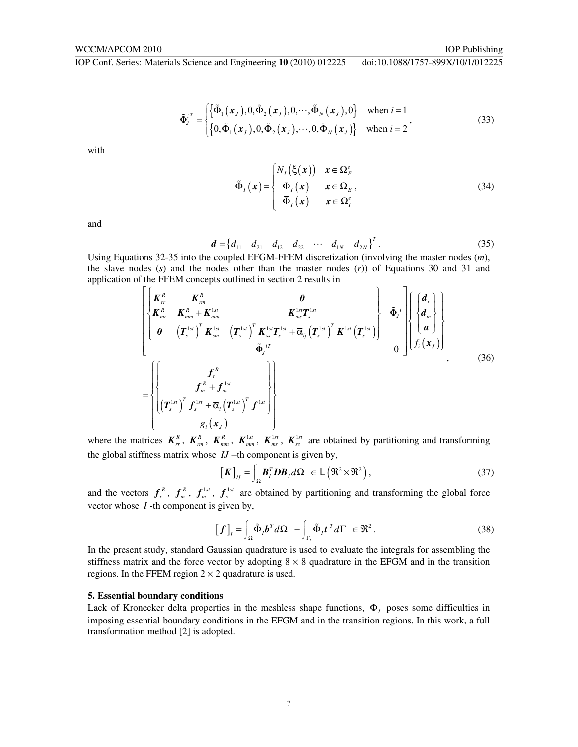$$
\tilde{\Phi}_{j}^{i^{T}} = \begin{cases} \left\{ \tilde{\Phi}_{1}(x_{j}), 0, \tilde{\Phi}_{2}(x_{j}), 0, \cdots, \tilde{\Phi}_{N}(x_{j}), 0 \right\} & \text{when } i = 1\\ \left\{ 0, \tilde{\Phi}_{1}(x_{j}), 0, \tilde{\Phi}_{2}(x_{j}), \cdots, 0, \tilde{\Phi}_{N}(x_{j}) \right\} & \text{when } i = 2 \end{cases}
$$
\n(33)

with

$$
\tilde{\Phi}_{I}(x) = \begin{cases} N_{I}(\xi(x)) & x \in \Omega_{F}^{e} \\ \Phi_{I}(x) & x \in \Omega_{E} \\ \overline{\Phi}_{I}(x) & x \in \Omega_{I}^{e} \end{cases}
$$
\n(34)

and

$$
\boldsymbol{d} = \begin{bmatrix} d_{11} & d_{21} & d_{12} & d_{22} & \cdots & d_{1N} & d_{2N} \end{bmatrix}^T. \tag{35}
$$

Using Equations 32-35 into the coupled EFGM-FFEM discretization (involving the master nodes (*m*), the slave nodes (*s*) and the nodes other than the master nodes (*r*)) of Equations 30 and 31 and application of the FFEM concepts outlined in section 2 results in

$$
\begin{bmatrix}\nK_{rr}^{R} & K_{rm}^{R} & 0 \\
K_{mr}^{R} & K_{mm}^{R} + K_{mm}^{1st} & K_{ms}^{1st}T_{s}^{1st} \\
0 & (T_{s}^{1st})^{T} K_{sm}^{1st} & (T_{s}^{1st})^{T} K_{ss}^{1st}T_{s}^{1st} + \bar{\alpha}_{ij}(T_{s}^{1st})^{T} K^{1st} (T_{s}^{1st})\n\end{bmatrix} \begin{bmatrix}\n\tilde{\Phi}_{j}^{i} \\
\tilde{\Phi}_{j}^{i} \\
\tilde{\Phi}_{j}^{i} \\
\tilde{\Phi}_{j}^{i} \\
\tilde{\Phi}_{j}^{i} \\
\tilde{\Phi}_{j}^{i} \\
\tilde{\Phi}_{j}^{i} \\
\tilde{\Phi}_{j}^{i} \\
\tilde{\Phi}_{j}^{i} \\
\tilde{\Phi}_{j}^{i} \\
\tilde{\Phi}_{j}^{i} \\
\tilde{\Phi}_{j}^{i} \\
\tilde{\Phi}_{j}^{i} \\
\tilde{\Phi}_{j}^{i} \\
\tilde{\Phi}_{j}^{i} \\
\tilde{\Phi}_{j}^{i} \\
\tilde{\Phi}_{j}^{i} \\
\tilde{\Phi}_{j}^{i} \\
\tilde{\Phi}_{j}^{i} \\
\tilde{\Phi}_{j}^{i} \\
\tilde{\Phi}_{j}^{i} \\
\tilde{\Phi}_{j}^{i} \\
\tilde{\Phi}_{j}^{i} \\
\tilde{\Phi}_{j}^{i} \\
\tilde{\Phi}_{j}^{i} \\
\tilde{\Phi}_{j}^{i} \\
\tilde{\Phi}_{j}^{i} \\
\tilde{\Phi}_{j}^{i} \\
\tilde{\Phi}_{j}^{i} \\
\tilde{\Phi}_{j}^{i} \\
\tilde{\Phi}_{j}^{i} \\
\tilde{\Phi}_{j}^{i} \\
\tilde{\Phi}_{j}^{i} \\
\tilde{\Phi}_{j}^{i} \\
\tilde{\Phi}_{j}^{i} \\
\tilde{\Phi}_{j}^{i} \\
\tilde{\Phi}_{j}^{i} \\
\tilde{\Phi}_{j}^{i} \\
\tilde{\Phi}_{j}^{i} \\
\tilde{\Phi}_{j}^{i} \\
\tilde{\Phi}_{j}^{i} \\
\tilde{\Phi}_{j}^{i} \\
\tilde{\Phi}_{j}^{i} \\
\tilde{\Phi}_{j}^{i} \\
\tilde{\Phi}_{j}^{i} \\
\tilde{\Phi}_{j}^{i} \\
\tilde{\Phi}_{j}^{i} \\
\tilde{\Phi}_{j}^{i} \\
\tilde{\Phi}_{j}^{i} \\
\tilde{\Phi
$$

where the matrices  $K_{rr}^R$ ,  $K_{rm}^R$ ,  $K_{mm}^R$ ,  $K_{mm}^{1st}$ ,  $K_{ms}^{1st}$ ,  $K_{ss}^{1st}$  are obtained by partitioning and transforming the global stiffness matrix whose *IJ* −th component is given by,

$$
\left[\boldsymbol{K}\right]_{IJ} = \int_{\Omega} \boldsymbol{B}_I^T \boldsymbol{D} \boldsymbol{B}_J d\Omega \ \in \mathsf{L}\left(\mathfrak{R}^2 \times \mathfrak{R}^2\right),\tag{37}
$$

and the vectors  $f_r^R$ ,  $f_m^R$ ,  $f_m^{\text{1st}}$ ,  $f_s^{\text{1st}}$  are obtained by partitioning and transforming the global force vector whose *I* -th component is given by,

$$
[f]_i = \int_{\Omega} \tilde{\Phi}_i b^T d\Omega - \int_{\Gamma_i} \tilde{\Phi}_i \overline{t}^T d\Gamma \in \mathfrak{R}^2.
$$
 (38)

In the present study, standard Gaussian quadrature is used to evaluate the integrals for assembling the stiffness matrix and the force vector by adopting  $8 \times 8$  quadrature in the EFGM and in the transition regions. In the FFEM region  $2 \times 2$  quadrature is used.

#### **5. Essential boundary conditions**

Lack of Kronecker delta properties in the meshless shape functions,  $\Phi$ <sub>*I*</sub> poses some difficulties in imposing essential boundary conditions in the EFGM and in the transition regions. In this work, a full transformation method [2] is adopted.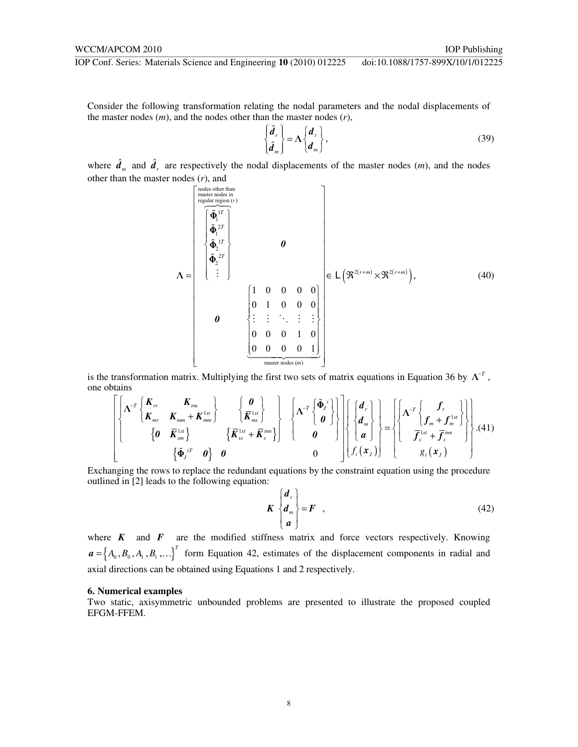Consider the following transformation relating the nodal parameters and the nodal displacements of the master nodes (*m*), and the nodes other than the master nodes (*r*),

$$
\begin{Bmatrix} \hat{d}_r \\ \hat{d}_m \end{Bmatrix} = \Lambda \begin{Bmatrix} d_r \\ d_m \end{Bmatrix},
$$
\n(39)

where  $\hat{d}_m$  and  $\hat{d}_r$  are respectively the nodal displacements of the master nodes (*m*), and the nodes other than the master nodes (*r*), and

$$
\Lambda = \begin{bmatrix}\n\text{nodes other than} \\
\text{negative nodes in} \\
\text{regular region}(r) \\
\text{mean} \\
\text{mean} \\
\text{mean} \\
\text{mean} \\
\text{mean} \\
\text{mean} \\
\text{mean} \\
\text{mean} \\
\text{mean} \\
\text{mean} \\
\text{mean} \\
\text{mean} \\
\text{mean} \\
\text{mean} \\
\text{mean} \\
\text{mean} \\
\text{mean} \\
\text{mean} \\
\text{mean} \\
\text{mean} \\
\text{mean} \\
\text{mean} \\
\text{mean} \\
\text{mean} \\
\text{mean} \\
\text{mean} \\
\text{mean} \\
\text{mean} \\
\text{mean} \\
\text{mean} \\
\text{mean} \\
\text{mean} \\
\text{mean} \\
\text{mean} \\
\text{mean} \\
\text{mean} \\
\text{mean} \\
\text{mean} \\
\text{mean} \\
\text{mean} \\
\text{mean} \\
\text{mean} \\
\text{mean} \\
\text{mean} \\
\text{mean} \\
\text{mean} \\
\text{mean} \\
\text{mean} \\
\text{mean} \\
\text{mean} \\
\text{mean} \\
\text{mean} \\
\text{mean} \\
\text{mean} \\
\text{mean} \\
\text{mean} \\
\text{mean} \\
\text{mean} \\
\text{mean} \\
\text{mean} \\
\text{mean} \\
\text{mean} \\
\text{mean} \\
\text{mean} \\
\text{mean} \\
\text{mean} \\
\text{mean} \\
\text{mean} \\
\text{mean} \\
\text{mean} \\
\text{mean} \\
\text{mean} \\
\text{mean} \\
\text{mean} \\
\text{mean} \\
\text{mean} \\
\text{mean} \\
\text{mean} \\
\text{mean} \\
\text{mean} \\
\text{mean} \\
\text{mean} \\
\text{mean} \\
\text{mean} \\
\text{mean} \\
\text{mean} \\
\text{mean} \\
\text{mean} \\
\text{mean} \\
\text{mean} \\
\text{mean} \\
\text{mean} \\
\text{mean} \\
\text{mean} \\
\text{mean} \\
\text{mean} \\
\text{mean} \\
\text{mean} \\
\text{mean} \\
\text{mean} \\
\text{mean} \\
\text{mean} \\
\text{mean} \\
\text{mean} \\
\text{mean} \\
\text{mean} \\
\text{mean} \\
\text{mean} \\
\text{mean} \\
\text{mean} \\
\text{mean} \\
\text{mean} \\
\text{mean} \\
\text{mean} \\
\text{mean} \\
\text{mean} \\
\text{mean} \\
\text{mean} \\
\text{mean} \\
\text{mean} \\
\text{mean}
$$

is the transformation matrix. Multiplying the first two sets of matrix equations in Equation 36 by  $\Lambda^{-T}$ , one obtains

$$
\left[\begin{matrix} \mathbf{\Lambda}^{-T} \begin{bmatrix} \mathbf{K}_{rr} & \mathbf{K}_{rm} \\ \mathbf{K}_{mr} & \mathbf{K}_{mm} + \mathbf{K}_{mm}^{1st} \end{bmatrix} & \begin{bmatrix} \mathbf{0} \\ \bar{\mathbf{K}}_{ms}^{1st} \end{bmatrix} & \begin{bmatrix} \mathbf{0} \\ \bar{\mathbf{K}}_{ms}^{1st} \end{bmatrix} \\ \begin{bmatrix} \mathbf{0} & \bar{\mathbf{K}}_{sm}^{1st} \\ \mathbf{0} & \bar{\mathbf{K}}_{sm}^{1st} \end{bmatrix} & \begin{bmatrix} \bar{\mathbf{K}}_{ms}^{1st} \\ \bar{\mathbf{K}}_{ss}^{1st} + \bar{\mathbf{K}}_{s}^{im} \end{bmatrix} \right] & \begin{bmatrix} \mathbf{\Lambda}^{-T} \begin{bmatrix} \tilde{\Phi}_{j} \\ \mathbf{0} \end{bmatrix} \\ \begin{bmatrix} \mathbf{d}_{n} \\ \mathbf{d}_{n} \\ \mathbf{d}_{n} \end{bmatrix} \right\} = \left\{ \begin{bmatrix} \mathbf{\Lambda}^{-T} \begin{bmatrix} \mathbf{f}_{r} \\ \mathbf{f}_{m} + \mathbf{f}_{m}^{1st} \end{bmatrix} \\ \begin{bmatrix} \tilde{\Phi}_{j}^{1T} & \mathbf{0} \end{bmatrix} & \mathbf{0} & \mathbf{0} \end{bmatrix} & \begin{bmatrix} \mathbf{\bar{K}}_{ss} & \mathbf{\bar{K}}_{ss} \\ \mathbf{0} & \mathbf{0} \end{bmatrix} \end{bmatrix} \right\} \cdot \left\{ \begin{bmatrix} \mathbf{d}_{r} \\ \mathbf{0} \\ \mathbf{0} \end{bmatrix} \right\} \cdot \left\{ \begin{bmatrix} \mathbf{f}_{m} \\ \mathbf{f}_{m} \end{bmatrix} & \begin{bmatrix} \mathbf{f}_{m} \\ \mathbf{f}_{m} \\ \mathbf{f}_{s} \end{bmatrix} \right\} \cdot \left\{ \begin{bmatrix} \mathbf{d}_{r} \\ \mathbf{f}_{m} \end{bmatrix} \right\} \cdot \left\{ \begin{bmatrix} \mathbf{f}_{m} \\ \mathbf{f}_{m} \end{bmatrix} \right\} \cdot \left\{ \begin{bmatrix} \mathbf{f}_{m} \\ \mathbf{f}_{m} \end{bmatrix
$$

Exchanging the rows to replace the redundant equations by the constraint equation using the procedure outlined in [2] leads to the following equation:

$$
K\begin{Bmatrix}d_r\\d_m\\a\end{Bmatrix} = F\quad ,\tag{42}
$$

where  $K$  and  $F$  are the modified stiffness matrix and force vectors respectively. Knowing  ${\bf a} = \{A_0, B_0, A_1, B_1, \ldots\}^T$  form Equation 42, estimates of the displacement components in radial and axial directions can be obtained using Equations 1 and 2 respectively.

# **6. Numerical examples**

Two static, axisymmetric unbounded problems are presented to illustrate the proposed coupled EFGM-FFEM.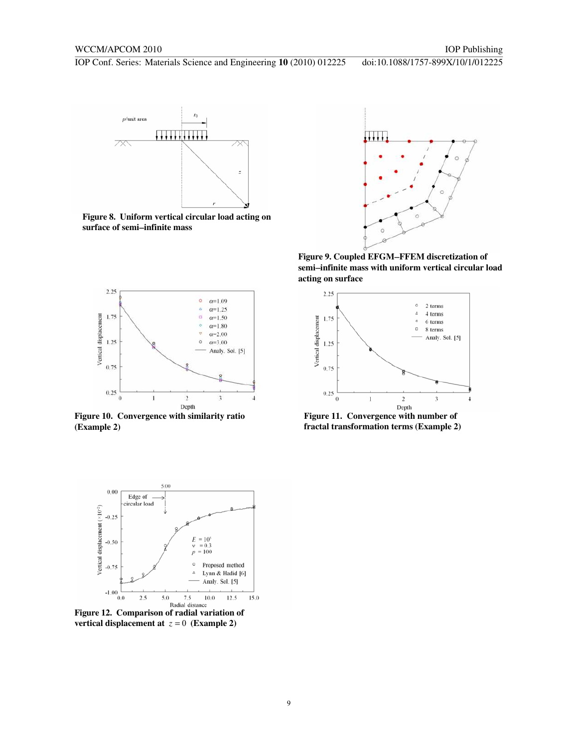

**Figure 8. Uniform vertical circular load acting on surface of semi**−**infinite mass** 



**Figure 9. Coupled EFGM**−**FFEM discretization of semi**−**infinite mass with uniform vertical circular load acting on surface** 



**Figure 10. Convergence with similarity ratio (Example 2)** 



**Figure 11. Convergence with number of fractal transformation terms (Example 2)** 



**Figure 12. Comparison of radial variation of vertical displacement at**  $z = 0$  (Example 2)